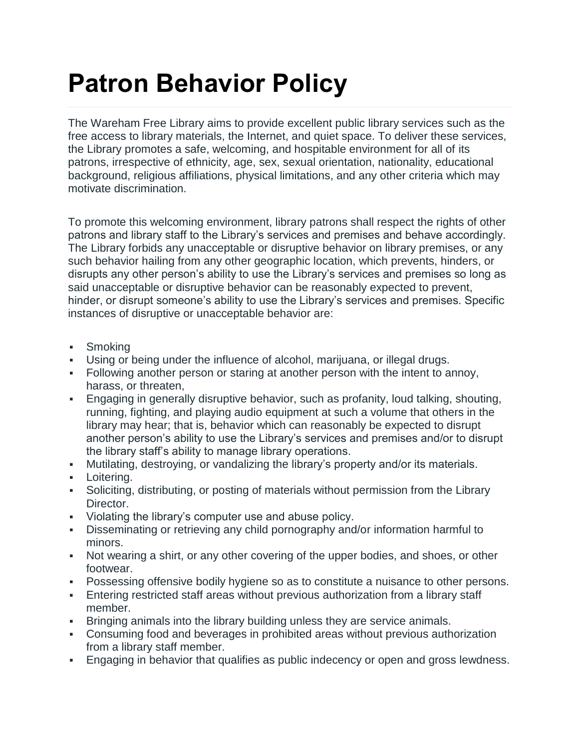## **Patron Behavior Policy**

The Wareham Free Library aims to provide excellent public library services such as the free access to library materials, the Internet, and quiet space. To deliver these services, the Library promotes a safe, welcoming, and hospitable environment for all of its patrons, irrespective of ethnicity, age, sex, sexual orientation, nationality, educational background, religious affiliations, physical limitations, and any other criteria which may motivate discrimination.

To promote this welcoming environment, library patrons shall respect the rights of other patrons and library staff to the Library's services and premises and behave accordingly. The Library forbids any unacceptable or disruptive behavior on library premises, or any such behavior hailing from any other geographic location, which prevents, hinders, or disrupts any other person's ability to use the Library's services and premises so long as said unacceptable or disruptive behavior can be reasonably expected to prevent, hinder, or disrupt someone's ability to use the Library's services and premises. Specific instances of disruptive or unacceptable behavior are:

- **Smoking**
- Using or being under the influence of alcohol, marijuana, or illegal drugs.
- Following another person or staring at another person with the intent to annoy, harass, or threaten,
- Engaging in generally disruptive behavior, such as profanity, loud talking, shouting, running, fighting, and playing audio equipment at such a volume that others in the library may hear; that is, behavior which can reasonably be expected to disrupt another person's ability to use the Library's services and premises and/or to disrupt the library staff's ability to manage library operations.
- Mutilating, destroying, or vandalizing the library's property and/or its materials.
- **-** Loitering.
- Soliciting, distributing, or posting of materials without permission from the Library Director.
- Violating the library's computer use and abuse policy.
- Disseminating or retrieving any child pornography and/or information harmful to minors.
- Not wearing a shirt, or any other covering of the upper bodies, and shoes, or other footwear.
- Possessing offensive bodily hygiene so as to constitute a nuisance to other persons.
- Entering restricted staff areas without previous authorization from a library staff member.
- Bringing animals into the library building unless they are service animals.
- Consuming food and beverages in prohibited areas without previous authorization from a library staff member.
- Engaging in behavior that qualifies as public indecency or open and gross lewdness.